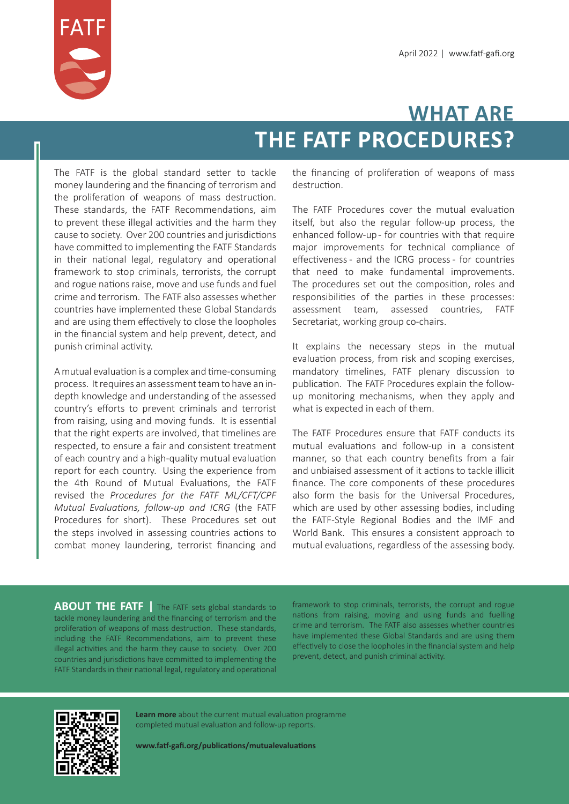

## **WHAT ARE THE FATF PROCEDURES?**

The FATF is the global standard setter to tackle money laundering and the financing of terrorism and the proliferation of weapons of mass destruction. These standards, the FATF Recommendations, aim to prevent these illegal activities and the harm they cause to society. Over 200 countries and jurisdictions have committed to implementing the FATF Standards in their national legal, regulatory and operational framework to stop criminals, terrorists, the corrupt and rogue nations raise, move and use funds and fuel crime and terrorism. The FATF also assesses whether countries have implemented these Global Standards and are using them effectively to close the loopholes in the financial system and help prevent, detect, and punish criminal activity.

A mutual evaluation is a complex and time-consuming process. It requires an assessment team to have an indepth knowledge and understanding of the assessed country's efforts to prevent criminals and terrorist from raising, using and moving funds. It is essential that the right experts are involved, that timelines are respected, to ensure a fair and consistent treatment of each country and a high-quality mutual evaluation report for each country. Using the experience from the 4th Round of Mutual Evaluations, the FATF revised the *Procedures for the FATF ML/CFT/CPF Mutual Evaluations, follow-up and ICRG* (the FATF Procedures for short). These Procedures set out the steps involved in assessing countries actions to combat money laundering, terrorist financing and the financing of proliferation of weapons of mass destruction.

The FATF Procedures cover the mutual evaluation itself, but also the regular follow-up process, the enhanced follow-up - for countries with that require major improvements for technical compliance of effectiveness - and the ICRG process - for countries that need to make fundamental improvements. The procedures set out the composition, roles and responsibilities of the parties in these processes: assessment team, assessed countries, FATF Secretariat, working group co-chairs.

It explains the necessary steps in the mutual evaluation process, from risk and scoping exercises, mandatory timelines, FATF plenary discussion to publication. The FATF Procedures explain the followup monitoring mechanisms, when they apply and what is expected in each of them.

The FATF Procedures ensure that FATF conducts its mutual evaluations and follow-up in a consistent manner, so that each country benefits from a fair and unbiaised assessment of it actions to tackle illicit finance. The core components of these procedures also form the basis for the Universal Procedures, which are used by other assessing bodies, including the FATF-Style Regional Bodies and the IMF and World Bank. This ensures a consistent approach to mutual evaluations, regardless of the assessing body.

**ABOUT THE FATF** The FATF sets global standards to tackle money laundering and the financing of terrorism and the proliferation of weapons of mass destruction. These standards, including the FATF Recommendations, aim to prevent these illegal activities and the harm they cause to society. Over 200 countries and jurisdictions have committed to implementing the FATF Standards in their national legal, regulatory and operational

framework to stop criminals, terrorists, the corrupt and rogue nations from raising, moving and using funds and fuelling crime and terrorism. The FATF also assesses whether countries have implemented these Global Standards and are using them effectively to close the loopholes in the financial system and help prevent, detect, and punish criminal activity.



**Learn more** about the current mutual evaluation programme completed mutual evaluation and follow-up reports.

**www.fatf-gafi.org/publications/mutualevaluations**